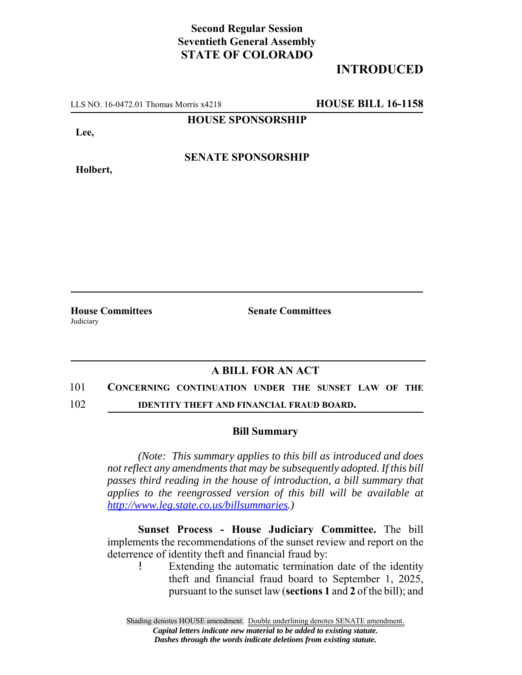## **Second Regular Session Seventieth General Assembly STATE OF COLORADO**

# **INTRODUCED**

LLS NO. 16-0472.01 Thomas Morris x4218 **HOUSE BILL 16-1158**

**HOUSE SPONSORSHIP**

**Lee,**

**Holbert,**

**SENATE SPONSORSHIP**

**Judiciary** 

**House Committees Senate Committees**

### **A BILL FOR AN ACT**

### 101 **CONCERNING CONTINUATION UNDER THE SUNSET LAW OF THE**

102 **IDENTITY THEFT AND FINANCIAL FRAUD BOARD.**

### **Bill Summary**

*(Note: This summary applies to this bill as introduced and does not reflect any amendments that may be subsequently adopted. If this bill passes third reading in the house of introduction, a bill summary that applies to the reengrossed version of this bill will be available at http://www.leg.state.co.us/billsummaries.)*

**Sunset Process - House Judiciary Committee.** The bill implements the recommendations of the sunset review and report on the deterrence of identity theft and financial fraud by:

! Extending the automatic termination date of the identity theft and financial fraud board to September 1, 2025, pursuant to the sunset law (**sections 1** and **2** of the bill); and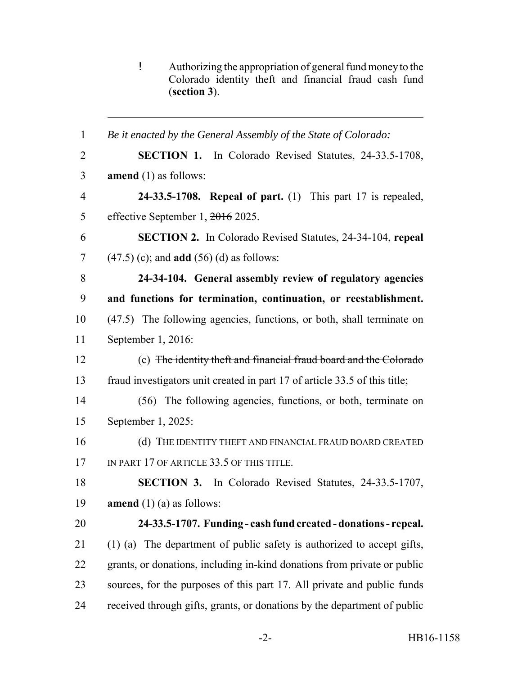! Authorizing the appropriation of general fund money to the Colorado identity theft and financial fraud cash fund (**section 3**).

 *Be it enacted by the General Assembly of the State of Colorado:* **SECTION 1.** In Colorado Revised Statutes, 24-33.5-1708, **amend** (1) as follows: **24-33.5-1708. Repeal of part.** (1) This part 17 is repealed, 5 effective September 1,  $\frac{2016}{2025}$ . **SECTION 2.** In Colorado Revised Statutes, 24-34-104, **repeal** (47.5) (c); and **add** (56) (d) as follows: **24-34-104. General assembly review of regulatory agencies and functions for termination, continuation, or reestablishment.** (47.5) The following agencies, functions, or both, shall terminate on September 1, 2016: (c) The identity theft and financial fraud board and the Colorado fraud investigators unit created in part 17 of article 33.5 of this title; (56) The following agencies, functions, or both, terminate on September 1, 2025: 16 (d) THE IDENTITY THEFT AND FINANCIAL FRAUD BOARD CREATED 17 IN PART 17 OF ARTICLE 33.5 OF THIS TITLE. **SECTION 3.** In Colorado Revised Statutes, 24-33.5-1707, **amend** (1) (a) as follows: **24-33.5-1707. Funding - cash fund created - donations - repeal.** (1) (a) The department of public safety is authorized to accept gifts, grants, or donations, including in-kind donations from private or public sources, for the purposes of this part 17. All private and public funds received through gifts, grants, or donations by the department of public